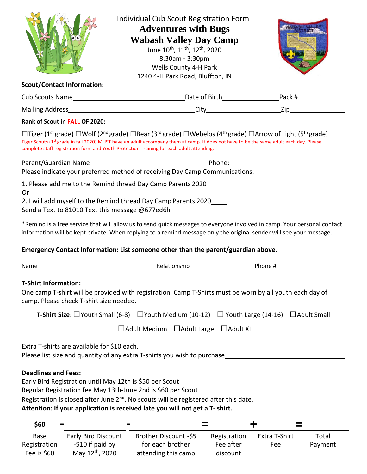|                                                                                                                                                                                                                                                                                                                                     |                                                                                                                                                                                                                                                                                                                                                                                                                                                      | <b>Individual Cub Scout Registration Form</b><br><b>Adventures with Bugs</b><br><b>Wabash Valley Day Camp</b><br>June 10 <sup>th</sup> , 11 <sup>th</sup> , 12 <sup>th</sup> , 2020<br>8:30am - 3:30pm<br>Wells County 4-H Park<br>1240 4-H Park Road, Bluffton, IN |                                       |                      |                    |  |
|-------------------------------------------------------------------------------------------------------------------------------------------------------------------------------------------------------------------------------------------------------------------------------------------------------------------------------------|------------------------------------------------------------------------------------------------------------------------------------------------------------------------------------------------------------------------------------------------------------------------------------------------------------------------------------------------------------------------------------------------------------------------------------------------------|---------------------------------------------------------------------------------------------------------------------------------------------------------------------------------------------------------------------------------------------------------------------|---------------------------------------|----------------------|--------------------|--|
| <b>Scout/Contact Information:</b>                                                                                                                                                                                                                                                                                                   |                                                                                                                                                                                                                                                                                                                                                                                                                                                      |                                                                                                                                                                                                                                                                     |                                       |                      |                    |  |
|                                                                                                                                                                                                                                                                                                                                     |                                                                                                                                                                                                                                                                                                                                                                                                                                                      |                                                                                                                                                                                                                                                                     |                                       |                      |                    |  |
|                                                                                                                                                                                                                                                                                                                                     |                                                                                                                                                                                                                                                                                                                                                                                                                                                      |                                                                                                                                                                                                                                                                     |                                       |                      |                    |  |
| Rank of Scout in FALL OF 2020:                                                                                                                                                                                                                                                                                                      |                                                                                                                                                                                                                                                                                                                                                                                                                                                      |                                                                                                                                                                                                                                                                     |                                       |                      |                    |  |
|                                                                                                                                                                                                                                                                                                                                     | $\Box$ Tiger (1 <sup>st</sup> grade) $\Box$ Wolf (2 <sup>nd</sup> grade) $\Box$ Bear (3 <sup>rd</sup> grade) $\Box$ Webelos (4 <sup>th</sup> grade) $\Box$ Arrow of Light (5 <sup>th</sup> grade)<br>Tiger Scouts (1 <sup>st</sup> grade in fall 2020) MUST have an adult accompany them at camp. It does not have to be the same adult each day. Please<br>complete staff registration form and Youth Protection Training for each adult attending. |                                                                                                                                                                                                                                                                     |                                       |                      |                    |  |
|                                                                                                                                                                                                                                                                                                                                     | Please indicate your preferred method of receiving Day Camp Communications.                                                                                                                                                                                                                                                                                                                                                                          |                                                                                                                                                                                                                                                                     |                                       |                      |                    |  |
| 1. Please add me to the Remind thread Day Camp Parents 2020 ____<br>0r<br>2. I will add myself to the Remind thread Day Camp Parents 2020_____<br>Send a Text to 81010 Text this message @677ed6h                                                                                                                                   |                                                                                                                                                                                                                                                                                                                                                                                                                                                      |                                                                                                                                                                                                                                                                     |                                       |                      |                    |  |
| *Remind is a free service that will allow us to send quick messages to everyone involved in camp. Your personal contact<br>information will be kept private. When replying to a remind message only the original sender will see your message.<br>Emergency Contact Information: List someone other than the parent/guardian above. |                                                                                                                                                                                                                                                                                                                                                                                                                                                      |                                                                                                                                                                                                                                                                     |                                       |                      |                    |  |
|                                                                                                                                                                                                                                                                                                                                     |                                                                                                                                                                                                                                                                                                                                                                                                                                                      |                                                                                                                                                                                                                                                                     |                                       |                      |                    |  |
| <b>T-Shirt Information:</b><br>One camp T-shirt will be provided with registration. Camp T-Shirts must be worn by all youth each day of<br>camp. Please check T-shirt size needed.                                                                                                                                                  |                                                                                                                                                                                                                                                                                                                                                                                                                                                      |                                                                                                                                                                                                                                                                     |                                       |                      |                    |  |
|                                                                                                                                                                                                                                                                                                                                     | <b>T-Shirt Size:</b> $\Box$ Youth Small (6-8) $\Box$ Youth Medium (10-12) $\Box$ Youth Large (14-16)                                                                                                                                                                                                                                                                                                                                                 |                                                                                                                                                                                                                                                                     |                                       |                      | $\Box$ Adult Small |  |
| $\Box$ Adult Medium<br>$\Box$ Adult Large<br>$\Box$ Adult XL                                                                                                                                                                                                                                                                        |                                                                                                                                                                                                                                                                                                                                                                                                                                                      |                                                                                                                                                                                                                                                                     |                                       |                      |                    |  |
| Extra T-shirts are available for \$10 each.<br>Please list size and quantity of any extra T-shirts you wish to purchase                                                                                                                                                                                                             |                                                                                                                                                                                                                                                                                                                                                                                                                                                      |                                                                                                                                                                                                                                                                     |                                       |                      |                    |  |
| <b>Deadlines and Fees:</b>                                                                                                                                                                                                                                                                                                          | Early Bird Registration until May 12th is \$50 per Scout<br>Regular Registration fee May 13th-June 2nd is \$60 per Scout<br>Registration is closed after June 2 <sup>nd</sup> . No scouts will be registered after this date.<br>Attention: If your application is received late you will not get a T- shirt.                                                                                                                                        |                                                                                                                                                                                                                                                                     |                                       |                      |                    |  |
| \$60                                                                                                                                                                                                                                                                                                                                |                                                                                                                                                                                                                                                                                                                                                                                                                                                      |                                                                                                                                                                                                                                                                     | ╉                                     |                      |                    |  |
| <b>Base</b><br>Registration<br>Fee is \$60                                                                                                                                                                                                                                                                                          | <b>Early Bird Discount</b><br>Brother Discount -\$5<br>for each brother<br>-\$10 if paid by<br>May 12th, 2020<br>attending this camp                                                                                                                                                                                                                                                                                                                 |                                                                                                                                                                                                                                                                     | Registration<br>Fee after<br>discount | Extra T-Shirt<br>Fee | Total<br>Payment   |  |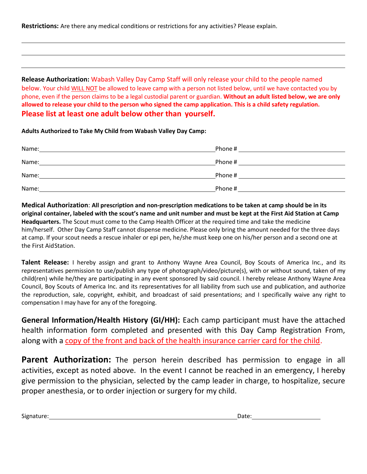**Restrictions:** Are there any medical conditions or restrictions for any activities? Please explain.

**Release Authorization:** Wabash Valley Day Camp Staff will only release your child to the people named below. Your child WILL NOT be allowed to leave camp with a person not listed below, until we have contacted you by phone, even if the person claims to be a legal custodial parent or guardian. **Without an adult listed below, we are only allowed to release your child to the person who signed the camp application. This is a child safety regulation. Please list at least one adult below other than yourself.**

**Adults Authorized to Take My Child from Wabash Valley Day Camp:**

| Name: | Phone # |
|-------|---------|
| Name: | Phone # |
| Name: | Phone # |
| Name: | Phone#  |

**Medical Authorization**: **All prescription and non-prescription medications to be taken at camp should be in its original container, labeled with the scout's name and unit number and must be kept at the First Aid Station at Camp Headquarters.** The Scout must come to the Camp Health Officer at the required time and take the medicine him/herself. Other Day Camp Staff cannot dispense medicine. Please only bring the amount needed for the three days at camp. If your scout needs a rescue inhaler or epi pen, he/she must keep one on his/her person and a second one at the First AidStation.

**Talent Release:** I hereby assign and grant to Anthony Wayne Area Council, Boy Scouts of America Inc., and its representatives permission to use/publish any type of photograph/video/picture(s), with or without sound, taken of my child(ren) while he/they are participating in any event sponsored by said council. I hereby release Anthony Wayne Area Council, Boy Scouts of America Inc. and its representatives for all liability from such use and publication, and authorize the reproduction, sale, copyright, exhibit, and broadcast of said presentations; and I specifically waive any right to compensation I may have for any of the foregoing.

**General Information/Health History (GI/HH):** Each camp participant must have the attached health information form completed and presented with this Day Camp Registration From, along with a copy of the front and back of the health insurance carrier card for the child.

**Parent Authorization:** The person herein described has permission to engage in all activities, except as noted above. In the event I cannot be reached in an emergency, I hereby give permission to the physician, selected by the camp leader in charge, to hospitalize, secure proper anesthesia, or to order injection or surgery for my child.

Signature: Date: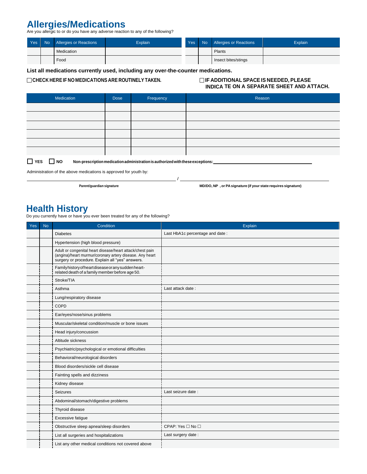## Allergies/Medications<br>Are you allergic to or do you have any adverse reaction to any of the following?

| Yes | No. | <b>Allergies or Reactions</b> | <b>Explain</b> | Yes <sup>1</sup> | No Allergies or Reactions | Explain |
|-----|-----|-------------------------------|----------------|------------------|---------------------------|---------|
|     |     | Medication                    |                |                  | Plants                    |         |
|     |     | Food                          |                |                  | Insect bites/stings       |         |

**List all medications currently used, including any over-the-counter medications.**

**CHECK HEREIF NO MEDICATIONS ARE ROUTINELY TAKEN. IF ADDITIONAL SPACEIS NEEDED, PLEASE**

## **INDICA TE ON A SEPARATE SHEET AND ATTACH.**

| Medication                                                                                                    | <b>Dose</b> | Frequency | Reason |  |  |
|---------------------------------------------------------------------------------------------------------------|-------------|-----------|--------|--|--|
|                                                                                                               |             |           |        |  |  |
|                                                                                                               |             |           |        |  |  |
|                                                                                                               |             |           |        |  |  |
|                                                                                                               |             |           |        |  |  |
|                                                                                                               |             |           |        |  |  |
|                                                                                                               |             |           |        |  |  |
| $\Box$ vee<br><b>D</b> NO<br>Non processintian modiantian administration is quthorized with these expentional |             |           |        |  |  |

/

**TES NO Non-prescription medication administration is authorized with these exceptions:** 

Administration of the above medications is approved for youth by:

**Parent/guardian signature MD/DO, NP , or PAsignature (if your state requires signature)**

**Health History**<br>Do you currently have or have you ever been treated for any of the following?

| Yes | <b>No</b> | Condition                                                                                                                                                                 | Explain                         |
|-----|-----------|---------------------------------------------------------------------------------------------------------------------------------------------------------------------------|---------------------------------|
|     |           | <b>Diabetes</b>                                                                                                                                                           | Last HbA1c percentage and date: |
|     |           | Hypertension (high blood pressure)                                                                                                                                        |                                 |
|     |           | Adult or congenital heart disease/heart attack/chest pain<br>(angina)/heart murmur/coronary artery disease. Any heart<br>surgery or procedure. Explain all "yes" answers. |                                 |
|     |           | Familyhistory of heart disease or any sudden heart-<br>related death of a family member before age 50.                                                                    |                                 |
|     |           | Stroke/TIA                                                                                                                                                                |                                 |
|     |           | Asthma                                                                                                                                                                    | Last attack date:               |
|     |           | Lung/respiratory disease                                                                                                                                                  |                                 |
|     |           | COPD                                                                                                                                                                      |                                 |
|     |           | Ear/eyes/nose/sinus problems                                                                                                                                              |                                 |
|     |           | Muscular/skeletal condition/muscle or bone issues                                                                                                                         |                                 |
|     |           | Head injury/concussion                                                                                                                                                    |                                 |
|     |           | Altitude sickness                                                                                                                                                         |                                 |
|     |           | Psychiatric/psychological or emotional difficulties                                                                                                                       |                                 |
|     |           | Behavioral/neurological disorders                                                                                                                                         |                                 |
|     |           | Blood disorders/sickle cell disease                                                                                                                                       |                                 |
|     |           | Fainting spells and dizziness                                                                                                                                             |                                 |
|     |           | Kidney disease                                                                                                                                                            |                                 |
|     |           | <b>Seizures</b>                                                                                                                                                           | Last seizure date:              |
|     |           | Abdominal/stomach/digestive problems                                                                                                                                      |                                 |
|     |           | Thyroid disease                                                                                                                                                           |                                 |
|     |           | Excessive fatigue                                                                                                                                                         |                                 |
|     |           | Obstructive sleep apnea/sleep disorders                                                                                                                                   | CPAP: Yes □ No □                |
|     |           | List all surgeries and hospitalizations                                                                                                                                   | Last surgery date:              |
|     |           | List any other medical conditions not covered above                                                                                                                       |                                 |